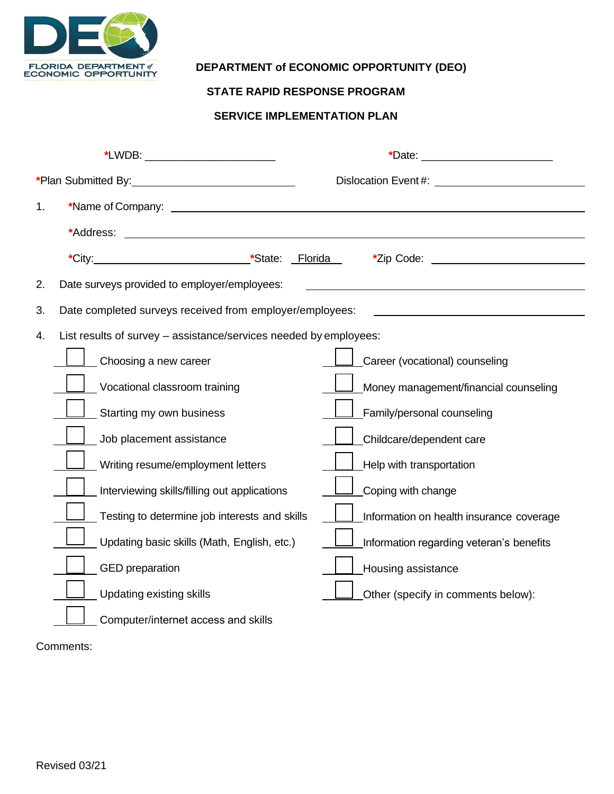

## **DEPARTMENT of ECONOMIC OPPORTUNITY (DEO)**

## **STATE RAPID RESPONSE PROGRAM**

## **SERVICE IMPLEMENTATION PLAN**

| *Plan Submitted By: 1990 1990 1991 |                                                                                                                                                                                                                                      | Dislocation Event#: Network: Network: Network: Network: Network: Network: Network: Network: Network: Network: N |  |  |  |  |
|------------------------------------|--------------------------------------------------------------------------------------------------------------------------------------------------------------------------------------------------------------------------------------|-----------------------------------------------------------------------------------------------------------------|--|--|--|--|
| 1.                                 |                                                                                                                                                                                                                                      |                                                                                                                 |  |  |  |  |
|                                    | *Address:<br><u> 1980 - Johann Harry Barn, mars an t-Amerikaansk kommunist (</u>                                                                                                                                                     |                                                                                                                 |  |  |  |  |
|                                    | *City: <u>Culties and the set of the set of the set of the set of the set of the set of the set of the set of the set of the set of the set of the set of the set of the set of the set of the set of the set of the set of the </u> |                                                                                                                 |  |  |  |  |
| 2.                                 | Date surveys provided to employer/employees:                                                                                                                                                                                         |                                                                                                                 |  |  |  |  |
| 3.                                 | Date completed surveys received from employer/employees:                                                                                                                                                                             |                                                                                                                 |  |  |  |  |
| 4.                                 | List results of survey - assistance/services needed by employees:                                                                                                                                                                    |                                                                                                                 |  |  |  |  |
|                                    | Choosing a new career                                                                                                                                                                                                                | Career (vocational) counseling                                                                                  |  |  |  |  |
|                                    | Vocational classroom training                                                                                                                                                                                                        | Money management/financial counseling                                                                           |  |  |  |  |
|                                    | Starting my own business                                                                                                                                                                                                             | Family/personal counseling                                                                                      |  |  |  |  |
|                                    | Job placement assistance                                                                                                                                                                                                             | Childcare/dependent care                                                                                        |  |  |  |  |
|                                    | Writing resume/employment letters                                                                                                                                                                                                    | Help with transportation                                                                                        |  |  |  |  |
|                                    | Interviewing skills/filling out applications                                                                                                                                                                                         | Coping with change                                                                                              |  |  |  |  |
|                                    | Testing to determine job interests and skills                                                                                                                                                                                        | Information on health insurance coverage                                                                        |  |  |  |  |
|                                    | Updating basic skills (Math, English, etc.)                                                                                                                                                                                          | Information regarding veteran's benefits                                                                        |  |  |  |  |
|                                    | <b>GED</b> preparation                                                                                                                                                                                                               | <b>Housing assistance</b>                                                                                       |  |  |  |  |
|                                    | <b>Updating existing skills</b>                                                                                                                                                                                                      | Other (specify in comments below):                                                                              |  |  |  |  |
|                                    | Computer/internet access and skills                                                                                                                                                                                                  |                                                                                                                 |  |  |  |  |

Comments: